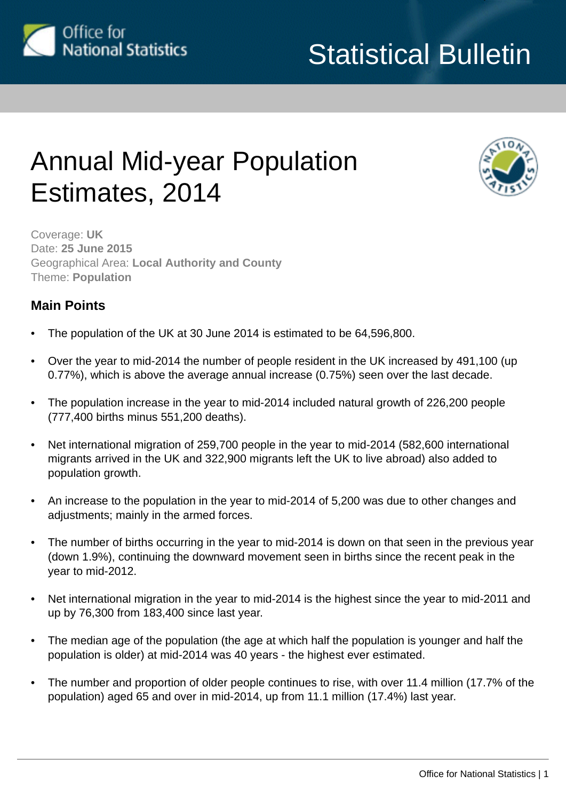

# Annual Mid-year Population Estimates, 2014



Coverage: **UK** Date: **25 June 2015** Geographical Area: **Local Authority and County** Theme: **Population**

# **Main Points**

- The population of the UK at 30 June 2014 is estimated to be 64,596,800.
- Over the year to mid-2014 the number of people resident in the UK increased by 491,100 (up 0.77%), which is above the average annual increase (0.75%) seen over the last decade.
- The population increase in the year to mid-2014 included natural growth of 226,200 people (777,400 births minus 551,200 deaths).
- Net international migration of 259,700 people in the year to mid-2014 (582,600 international migrants arrived in the UK and 322,900 migrants left the UK to live abroad) also added to population growth.
- An increase to the population in the year to mid-2014 of 5,200 was due to other changes and adjustments; mainly in the armed forces.
- The number of births occurring in the year to mid-2014 is down on that seen in the previous year (down 1.9%), continuing the downward movement seen in births since the recent peak in the year to mid-2012.
- Net international migration in the year to mid-2014 is the highest since the year to mid-2011 and up by 76,300 from 183,400 since last year.
- The median age of the population (the age at which half the population is younger and half the population is older) at mid-2014 was 40 years - the highest ever estimated.
- The number and proportion of older people continues to rise, with over 11.4 million (17.7% of the population) aged 65 and over in mid-2014, up from 11.1 million (17.4%) last year.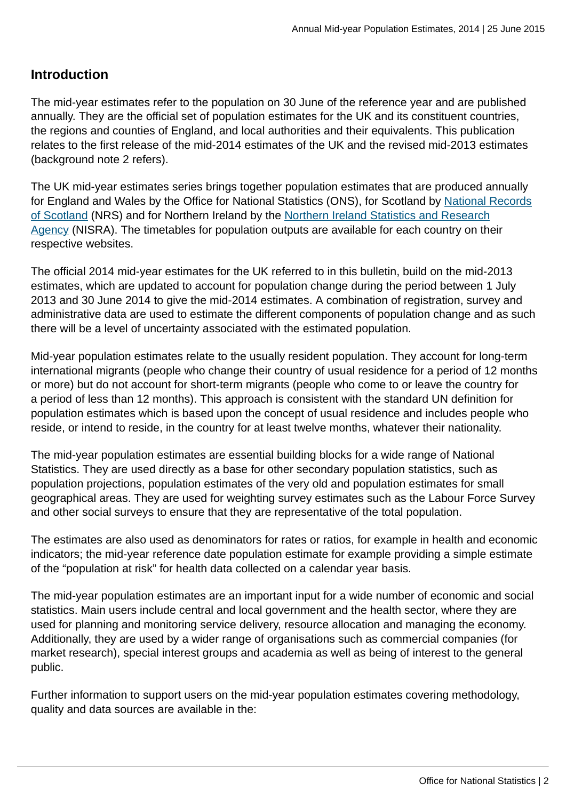# **Introduction**

The mid-year estimates refer to the population on 30 June of the reference year and are published annually. They are the official set of population estimates for the UK and its constituent countries, the regions and counties of England, and local authorities and their equivalents. This publication relates to the first release of the mid-2014 estimates of the UK and the revised mid-2013 estimates (background note 2 refers).

The UK mid-year estimates series brings together population estimates that are produced annually for England and Wales by the Office for National Statistics (ONS), for Scotland by [National Records](http://www.ons.gov.uk:80/ons/external-links/devolved-admins/national-records-of-scotland/mid-year-population-estimates.html) [of Scotland](http://www.ons.gov.uk:80/ons/external-links/devolved-admins/national-records-of-scotland/mid-year-population-estimates.html) (NRS) and for Northern Ireland by the [Northern Ireland Statistics and Research](http://www.ons.gov.uk:80/ons/external-links/devolved-admins/nisra/nisra---population-estimates.html) [Agency](http://www.ons.gov.uk:80/ons/external-links/devolved-admins/nisra/nisra---population-estimates.html) (NISRA). The timetables for population outputs are available for each country on their respective websites.

The official 2014 mid-year estimates for the UK referred to in this bulletin, build on the mid-2013 estimates, which are updated to account for population change during the period between 1 July 2013 and 30 June 2014 to give the mid-2014 estimates. A combination of registration, survey and administrative data are used to estimate the different components of population change and as such there will be a level of uncertainty associated with the estimated population.

Mid-year population estimates relate to the usually resident population. They account for long-term international migrants (people who change their country of usual residence for a period of 12 months or more) but do not account for short-term migrants (people who come to or leave the country for a period of less than 12 months). This approach is consistent with the standard UN definition for population estimates which is based upon the concept of usual residence and includes people who reside, or intend to reside, in the country for at least twelve months, whatever their nationality.

The mid-year population estimates are essential building blocks for a wide range of National Statistics. They are used directly as a base for other secondary population statistics, such as population projections, population estimates of the very old and population estimates for small geographical areas. They are used for weighting survey estimates such as the Labour Force Survey and other social surveys to ensure that they are representative of the total population.

The estimates are also used as denominators for rates or ratios, for example in health and economic indicators; the mid-year reference date population estimate for example providing a simple estimate of the "population at risk" for health data collected on a calendar year basis.

The mid-year population estimates are an important input for a wide number of economic and social statistics. Main users include central and local government and the health sector, where they are used for planning and monitoring service delivery, resource allocation and managing the economy. Additionally, they are used by a wider range of organisations such as commercial companies (for market research), special interest groups and academia as well as being of interest to the general public.

Further information to support users on the mid-year population estimates covering methodology, quality and data sources are available in the: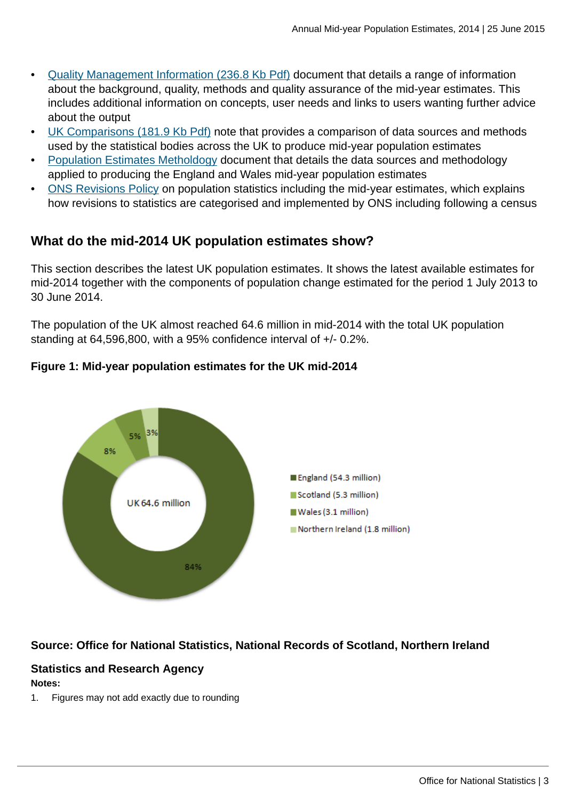- [Quality Management Information \(236.8 Kb Pdf\)](http://www.ons.gov.uk:80/ons/guide-method/method-quality/quality/quality-information/population/quality-and-methodology-information-for-annual-mid-year-population-estimates.pdf) document that details a range of information about the background, quality, methods and quality assurance of the mid-year estimates. This includes additional information on concepts, user needs and links to users wanting further advice about the output
- [UK Comparisons \(181.9 Kb Pdf\)](http://www.ons.gov.uk:80/ons/guide-method/method-quality/specific/population-and-migration/pop-ests/population-estimates-for-las/population-estimates-uk-comparisons-paper.pdf) note that provides a comparison of data sources and methods used by the statistical bodies across the UK to produce mid-year population estimates
- [Population Estimates Metholdogy](http://www.ons.gov.uk:80/ons/guide-method/method-quality/specific/population-and-migration/pop-ests/population-estimates-for-las/index.html) document that details the data sources and methodology applied to producing the England and Wales mid-year population estimates
- [ONS Revisions Policy](http://www.ons.gov.uk:80/ons/guide-method/revisions/revisions-policies-by-theme/population/index.html) on population statistics including the mid-year estimates, which explains how revisions to statistics are categorised and implemented by ONS including following a census

# **What do the mid-2014 UK population estimates show?**

This section describes the latest UK population estimates. It shows the latest available estimates for mid-2014 together with the components of population change estimated for the period 1 July 2013 to 30 June 2014.

The population of the UK almost reached 64.6 million in mid-2014 with the total UK population standing at 64,596,800, with a 95% confidence interval of +/- 0.2%.



# **Figure 1: Mid-year population estimates for the UK mid-2014**

# **Source: Office for National Statistics, National Records of Scotland, Northern Ireland**

#### **Statistics and Research Agency Notes:**

1. Figures may not add exactly due to rounding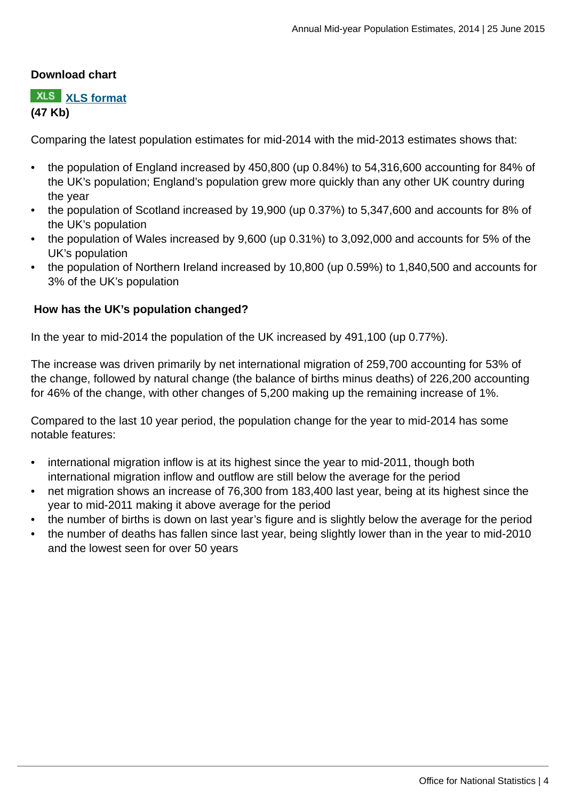## **Download chart**

## **[XLS format](http://www.ons.gov.uk:80/ons/rel/pop-estimate/population-estimates-for-uk--england-and-wales--scotland-and-northern-ireland/mid-2014/chd---chart-1.xls) (47 Kb)**

Comparing the latest population estimates for mid-2014 with the mid-2013 estimates shows that:

- the population of England increased by 450,800 (up 0.84%) to 54,316,600 accounting for 84% of the UK's population; England's population grew more quickly than any other UK country during the year
- the population of Scotland increased by 19,900 (up 0.37%) to 5,347,600 and accounts for 8% of the UK's population
- the population of Wales increased by 9,600 (up 0.31%) to 3,092,000 and accounts for 5% of the UK's population
- the population of Northern Ireland increased by 10,800 (up 0.59%) to 1,840,500 and accounts for 3% of the UK's population

## **How has the UK's population changed?**

In the year to mid-2014 the population of the UK increased by 491,100 (up 0.77%).

The increase was driven primarily by net international migration of 259,700 accounting for 53% of the change, followed by natural change (the balance of births minus deaths) of 226,200 accounting for 46% of the change, with other changes of 5,200 making up the remaining increase of 1%.

Compared to the last 10 year period, the population change for the year to mid-2014 has some notable features:

- international migration inflow is at its highest since the year to mid-2011, though both international migration inflow and outflow are still below the average for the period
- net migration shows an increase of 76,300 from 183,400 last year, being at its highest since the year to mid-2011 making it above average for the period
- the number of births is down on last year's figure and is slightly below the average for the period
- the number of deaths has fallen since last year, being slightly lower than in the year to mid-2010 and the lowest seen for over 50 years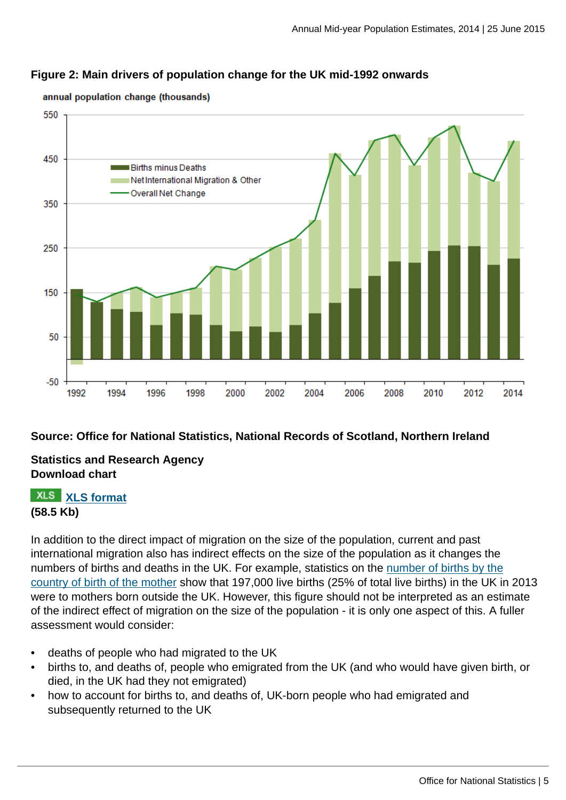## **Figure 2: Main drivers of population change for the UK mid-1992 onwards**



#### annual population change (thousands)

## **Source: Office for National Statistics, National Records of Scotland, Northern Ireland**

## **Statistics and Research Agency Download chart**

# **[XLS format](http://www.ons.gov.uk:80/ons/rel/pop-estimate/population-estimates-for-uk--england-and-wales--scotland-and-northern-ireland/mid-2014/chd---chart-2.xls) (58.5 Kb)**

In addition to the direct impact of migration on the size of the population, current and past international migration also has indirect effects on the size of the population as it changes the numbers of births and deaths in the UK. For example, statistics on the [number of births by the](http://www.ons.gov.uk:80/ons/rel/vsob1/parents--country-of-birth--england-and-wales/2013/stb-births-by-cob-2013.html) [country of birth of the mother](http://www.ons.gov.uk:80/ons/rel/vsob1/parents--country-of-birth--england-and-wales/2013/stb-births-by-cob-2013.html) show that 197,000 live births (25% of total live births) in the UK in 2013 were to mothers born outside the UK. However, this figure should not be interpreted as an estimate of the indirect effect of migration on the size of the population - it is only one aspect of this. A fuller assessment would consider:

- deaths of people who had migrated to the UK
- births to, and deaths of, people who emigrated from the UK (and who would have given birth, or died, in the UK had they not emigrated)
- how to account for births to, and deaths of, UK-born people who had emigrated and subsequently returned to the UK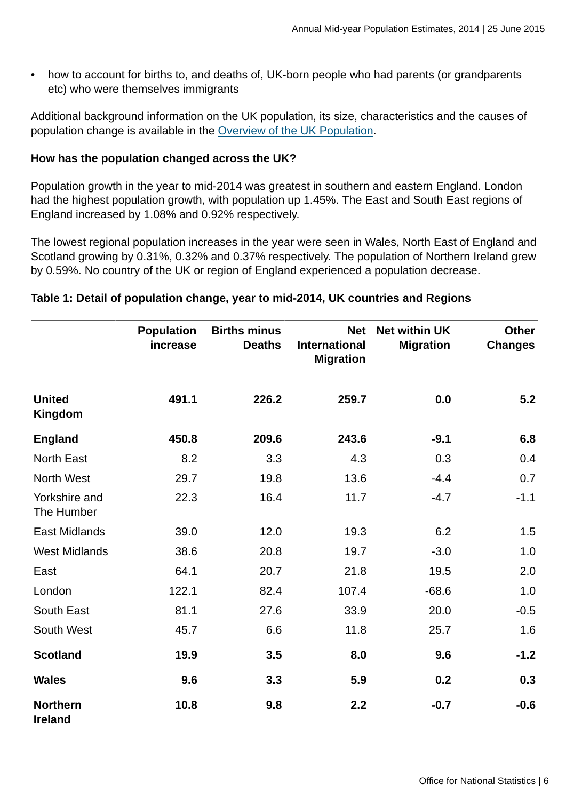• how to account for births to, and deaths of, UK-born people who had parents (or grandparents etc) who were themselves immigrants

Additional background information on the UK population, its size, characteristics and the causes of population change is available in the [Overview of the UK Population](http://www.ons.gov.uk:80/ons/rel/pop-estimate/population-estimates-for-uk--england-and-wales--scotland-and-northern-ireland/mid-2014/sty---overview-of-the-uk-population.html).

## **How has the population changed across the UK?**

Population growth in the year to mid-2014 was greatest in southern and eastern England. London had the highest population growth, with population up 1.45%. The East and South East regions of England increased by 1.08% and 0.92% respectively.

The lowest regional population increases in the year were seen in Wales, North East of England and Scotland growing by 0.31%, 0.32% and 0.37% respectively. The population of Northern Ireland grew by 0.59%. No country of the UK or region of England experienced a population decrease.

## **Table 1: Detail of population change, year to mid-2014, UK countries and Regions**

|                                   | <b>Population</b><br>increase | <b>Births minus</b><br><b>Deaths</b> | <b>Net</b><br><b>International</b><br><b>Migration</b> | <b>Net within UK</b><br><b>Migration</b> | <b>Other</b><br><b>Changes</b> |
|-----------------------------------|-------------------------------|--------------------------------------|--------------------------------------------------------|------------------------------------------|--------------------------------|
| <b>United</b><br>Kingdom          | 491.1                         | 226.2                                | 259.7                                                  | 0.0                                      | 5.2                            |
| <b>England</b>                    | 450.8                         | 209.6                                | 243.6                                                  | $-9.1$                                   | 6.8                            |
| <b>North East</b>                 | 8.2                           | 3.3                                  | 4.3                                                    | 0.3                                      | 0.4                            |
| North West                        | 29.7                          | 19.8                                 | 13.6                                                   | $-4.4$                                   | 0.7                            |
| Yorkshire and<br>The Humber       | 22.3                          | 16.4                                 | 11.7                                                   | $-4.7$                                   | $-1.1$                         |
| <b>East Midlands</b>              | 39.0                          | 12.0                                 | 19.3                                                   | 6.2                                      | 1.5                            |
| <b>West Midlands</b>              | 38.6                          | 20.8                                 | 19.7                                                   | $-3.0$                                   | 1.0                            |
| East                              | 64.1                          | 20.7                                 | 21.8                                                   | 19.5                                     | 2.0                            |
| London                            | 122.1                         | 82.4                                 | 107.4                                                  | $-68.6$                                  | 1.0                            |
| South East                        | 81.1                          | 27.6                                 | 33.9                                                   | 20.0                                     | $-0.5$                         |
| South West                        | 45.7                          | 6.6                                  | 11.8                                                   | 25.7                                     | 1.6                            |
| <b>Scotland</b>                   | 19.9                          | 3.5                                  | 8.0                                                    | 9.6                                      | $-1.2$                         |
| <b>Wales</b>                      | 9.6                           | 3.3                                  | 5.9                                                    | 0.2                                      | 0.3                            |
| <b>Northern</b><br><b>Ireland</b> | 10.8                          | 9.8                                  | 2.2                                                    | $-0.7$                                   | $-0.6$                         |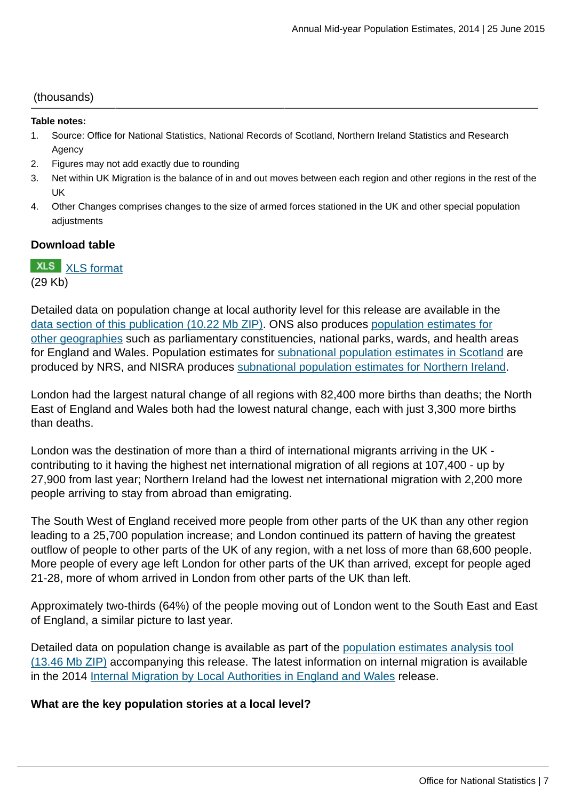#### (thousands)

#### **Table notes:**

- 1. Source: Office for National Statistics, National Records of Scotland, Northern Ireland Statistics and Research Agency
- 2. Figures may not add exactly due to rounding
- 3. Net within UK Migration is the balance of in and out moves between each region and other regions in the rest of the UK
- 4. Other Changes comprises changes to the size of armed forces stationed in the UK and other special population adjustments

## **Download table**

**XLS** [XLS format](http://www.ons.gov.uk:80/ons/rel/pop-estimate/population-estimates-for-uk--england-and-wales--scotland-and-northern-ireland/mid-2014/prt---table-1.xls)

(29 Kb)

Detailed data on population change at local authority level for this release are available in the [data section of this publication \(10.22 Mb ZIP\)](http://www.ons.gov.uk:80/ons/rel/pop-estimate/population-estimates-for-uk--england-and-wales--scotland-and-northern-ireland/mid-2014/rft---mid-2014-uk-population-estimates.zip). ONS also produces [population estimates for](http://www.ons.gov.uk:80/ons/rel/sape/small-area-population-estimates/index.html) [other geographies](http://www.ons.gov.uk:80/ons/rel/sape/small-area-population-estimates/index.html) such as parliamentary constituencies, national parks, wards, and health areas for England and Wales. Population estimates for [subnational population estimates in Scotland](http://www.ons.gov.uk:80/ons/external-links/devolved-admins/national-records-of-scotland/small-area-population-estimates.html) are produced by NRS, and NISRA produces [subnational population estimates for Northern Ireland.](http://www.ons.gov.uk:80/ons/external-links/devolved-admins/nisra/nisra---population-estimates.html)

London had the largest natural change of all regions with 82,400 more births than deaths; the North East of England and Wales both had the lowest natural change, each with just 3,300 more births than deaths.

London was the destination of more than a third of international migrants arriving in the UK contributing to it having the highest net international migration of all regions at 107,400 - up by 27,900 from last year; Northern Ireland had the lowest net international migration with 2,200 more people arriving to stay from abroad than emigrating.

The South West of England received more people from other parts of the UK than any other region leading to a 25,700 population increase; and London continued its pattern of having the greatest outflow of people to other parts of the UK of any region, with a net loss of more than 68,600 people. More people of every age left London for other parts of the UK than arrived, except for people aged 21-28, more of whom arrived in London from other parts of the UK than left.

Approximately two-thirds (64%) of the people moving out of London went to the South East and East of England, a similar picture to last year.

Detailed data on population change is available as part of the [population estimates analysis tool](http://www.ons.gov.uk:80/ons/rel/pop-estimate/population-estimates-for-uk--england-and-wales--scotland-and-northern-ireland/mid-2014/rft---mid-2014-population-estimates-analysis-tool.zip) [\(13.46 Mb ZIP\)](http://www.ons.gov.uk:80/ons/rel/pop-estimate/population-estimates-for-uk--england-and-wales--scotland-and-northern-ireland/mid-2014/rft---mid-2014-population-estimates-analysis-tool.zip) accompanying this release. The latest information on internal migration is available in the 2014 [Internal Migration by Local Authorities in England and Wales](http://www.ons.gov.uk:80/ons/rel/migration1/internal-migration-by-local-authorities-in-england-and-wales/year-ending-june-2014.html) release.

## **What are the key population stories at a local level?**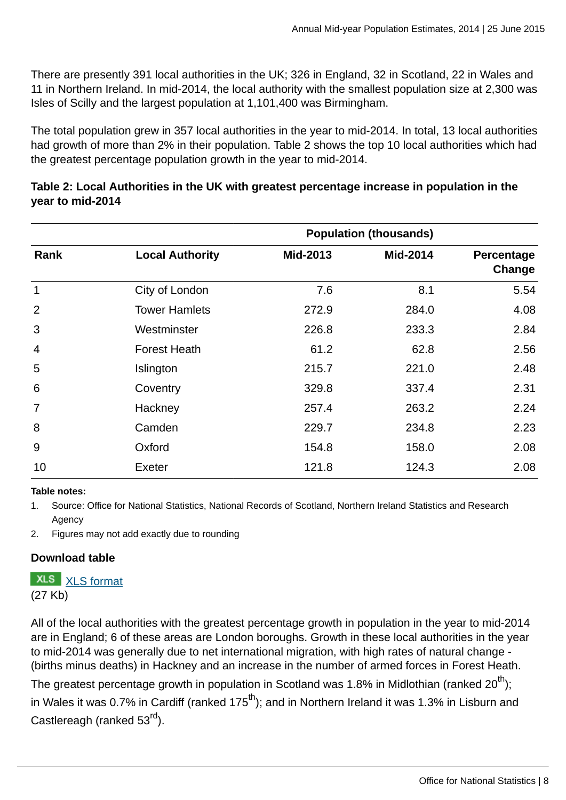There are presently 391 local authorities in the UK; 326 in England, 32 in Scotland, 22 in Wales and 11 in Northern Ireland. In mid-2014, the local authority with the smallest population size at 2,300 was Isles of Scilly and the largest population at 1,101,400 was Birmingham.

The total population grew in 357 local authorities in the year to mid-2014. In total, 13 local authorities had growth of more than 2% in their population. Table 2 shows the top 10 local authorities which had the greatest percentage population growth in the year to mid-2014.

|                | <b>Population (thousands)</b> |          |          |                      |  |  |
|----------------|-------------------------------|----------|----------|----------------------|--|--|
| Rank           | <b>Local Authority</b>        | Mid-2013 | Mid-2014 | Percentage<br>Change |  |  |
| $\mathbf{1}$   | City of London                | 7.6      | 8.1      | 5.54                 |  |  |
| $\overline{2}$ | <b>Tower Hamlets</b>          | 272.9    | 284.0    | 4.08                 |  |  |
| 3              | Westminster                   | 226.8    | 233.3    | 2.84                 |  |  |
| 4              | <b>Forest Heath</b>           | 61.2     | 62.8     | 2.56                 |  |  |
| 5              | Islington                     | 215.7    | 221.0    | 2.48                 |  |  |
| 6              | Coventry                      | 329.8    | 337.4    | 2.31                 |  |  |
| $\overline{7}$ | Hackney                       | 257.4    | 263.2    | 2.24                 |  |  |
| 8              | Camden                        | 229.7    | 234.8    | 2.23                 |  |  |
| 9              | Oxford                        | 154.8    | 158.0    | 2.08                 |  |  |
| 10             | Exeter                        | 121.8    | 124.3    | 2.08                 |  |  |

## **Table 2: Local Authorities in the UK with greatest percentage increase in population in the year to mid-2014**

**Table notes:**

1. Source: Office for National Statistics, National Records of Scotland, Northern Ireland Statistics and Research Agency

2. Figures may not add exactly due to rounding

## **Download table**

# **XLS** [XLS format](http://www.ons.gov.uk:80/ons/rel/pop-estimate/population-estimates-for-uk--england-and-wales--scotland-and-northern-ireland/mid-2014/prt---table-2.xls) (27 Kb)

All of the local authorities with the greatest percentage growth in population in the year to mid-2014 are in England; 6 of these areas are London boroughs. Growth in these local authorities in the year to mid-2014 was generally due to net international migration, with high rates of natural change - (births minus deaths) in Hackney and an increase in the number of armed forces in Forest Heath. The greatest percentage growth in population in Scotland was  $1.8\%$  in Midlothian (ranked 20<sup>th</sup>); in Wales it was 0.7% in Cardiff (ranked 175<sup>th</sup>); and in Northern Ireland it was 1.3% in Lisburn and Castlereagh (ranked 53<sup>rd</sup>).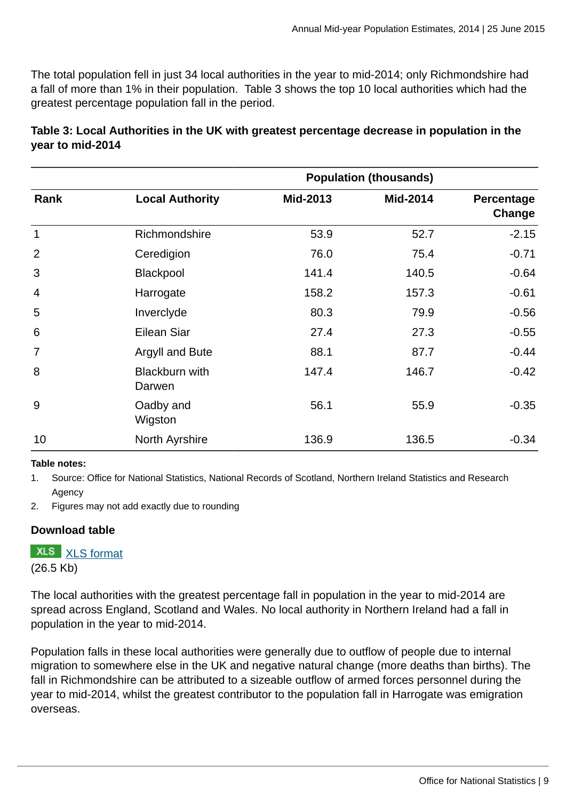The total population fell in just 34 local authorities in the year to mid-2014; only Richmondshire had a fall of more than 1% in their population. Table 3 shows the top 10 local authorities which had the greatest percentage population fall in the period.

|                | <b>Population (thousands)</b>   |          |          |                             |  |  |
|----------------|---------------------------------|----------|----------|-----------------------------|--|--|
| Rank           | <b>Local Authority</b>          | Mid-2013 | Mid-2014 | <b>Percentage</b><br>Change |  |  |
| $\mathbf{1}$   | Richmondshire                   | 53.9     | 52.7     | $-2.15$                     |  |  |
| $\overline{2}$ | Ceredigion                      | 76.0     | 75.4     | $-0.71$                     |  |  |
| 3              | <b>Blackpool</b>                | 141.4    | 140.5    | $-0.64$                     |  |  |
| $\overline{4}$ | Harrogate                       | 158.2    | 157.3    | $-0.61$                     |  |  |
| 5              | Inverclyde                      | 80.3     | 79.9     | $-0.56$                     |  |  |
| 6              | Eilean Siar                     | 27.4     | 27.3     | $-0.55$                     |  |  |
| $\overline{7}$ | Argyll and Bute                 | 88.1     | 87.7     | $-0.44$                     |  |  |
| 8              | <b>Blackburn with</b><br>Darwen | 147.4    | 146.7    | $-0.42$                     |  |  |
| 9              | Oadby and<br>Wigston            | 56.1     | 55.9     | $-0.35$                     |  |  |
| 10             | North Ayrshire                  | 136.9    | 136.5    | $-0.34$                     |  |  |

# **Table 3: Local Authorities in the UK with greatest percentage decrease in population in the year to mid-2014**

#### **Table notes:**

1. Source: Office for National Statistics, National Records of Scotland, Northern Ireland Statistics and Research Agency

2. Figures may not add exactly due to rounding

## **Download table**

**XLS** [XLS format](http://www.ons.gov.uk:80/ons/rel/pop-estimate/population-estimates-for-uk--england-and-wales--scotland-and-northern-ireland/mid-2014/prt---table-3.xls) (26.5 Kb)

The local authorities with the greatest percentage fall in population in the year to mid-2014 are spread across England, Scotland and Wales. No local authority in Northern Ireland had a fall in population in the year to mid-2014.

Population falls in these local authorities were generally due to outflow of people due to internal migration to somewhere else in the UK and negative natural change (more deaths than births). The fall in Richmondshire can be attributed to a sizeable outflow of armed forces personnel during the year to mid-2014, whilst the greatest contributor to the population fall in Harrogate was emigration overseas.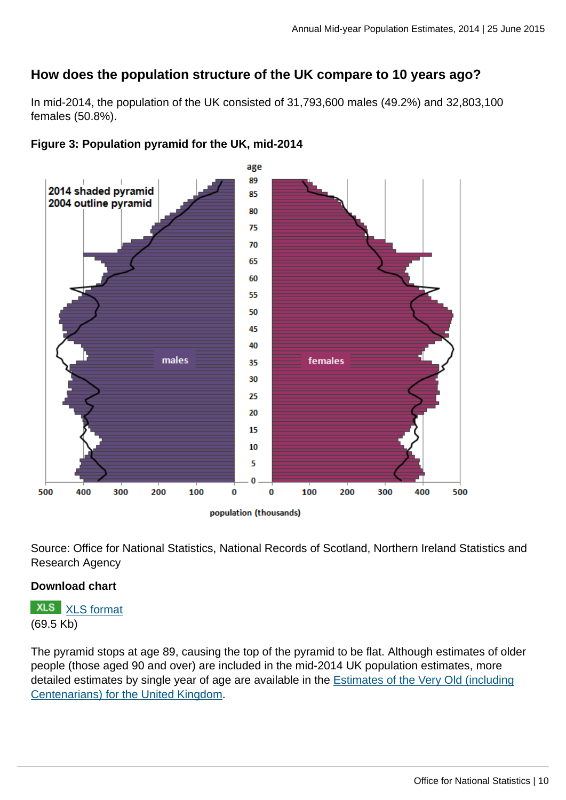# **How does the population structure of the UK compare to 10 years ago?**

In mid-2014, the population of the UK consisted of 31,793,600 males (49.2%) and 32,803,100 females (50.8%).



## **Figure 3: Population pyramid for the UK, mid-2014**

Source: Office for National Statistics, National Records of Scotland, Northern Ireland Statistics and Research Agency

## **Download chart**

**XLS** [XLS format](http://www.ons.gov.uk:80/ons/rel/pop-estimate/population-estimates-for-uk--england-and-wales--scotland-and-northern-ireland/mid-2014/chd---chart-3.xls) (69.5 Kb)

The pyramid stops at age 89, causing the top of the pyramid to be flat. Although estimates of older people (those aged 90 and over) are included in the mid-2014 UK population estimates, more detailed estimates by single year of age are available in the [Estimates of the Very Old \(including](http://www.ons.gov.uk:80/ons/rel/mortality-ageing/estimates-of-the-very-old--including-centenarians-/index.html) [Centenarians\) for the United Kingdom.](http://www.ons.gov.uk:80/ons/rel/mortality-ageing/estimates-of-the-very-old--including-centenarians-/index.html)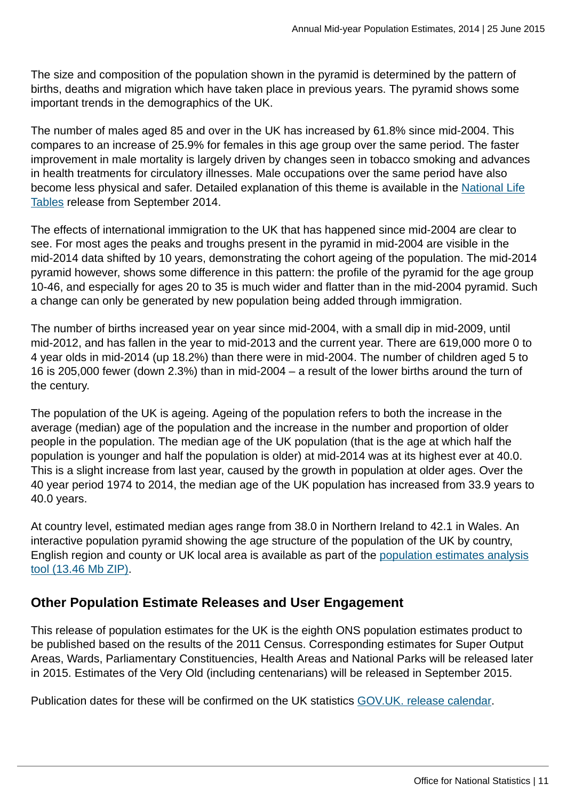The size and composition of the population shown in the pyramid is determined by the pattern of births, deaths and migration which have taken place in previous years. The pyramid shows some important trends in the demographics of the UK.

The number of males aged 85 and over in the UK has increased by 61.8% since mid-2004. This compares to an increase of 25.9% for females in this age group over the same period. The faster improvement in male mortality is largely driven by changes seen in tobacco smoking and advances in health treatments for circulatory illnesses. Male occupations over the same period have also become less physical and safer. Detailed explanation of this theme is available in the [National Life](http://www.ons.gov.uk:80/ons/rel/lifetables/national-life-tables/2011-2013.html) [Tables](http://www.ons.gov.uk:80/ons/rel/lifetables/national-life-tables/2011-2013.html) release from September 2014.

The effects of international immigration to the UK that has happened since mid-2004 are clear to see. For most ages the peaks and troughs present in the pyramid in mid-2004 are visible in the mid-2014 data shifted by 10 years, demonstrating the cohort ageing of the population. The mid-2014 pyramid however, shows some difference in this pattern: the profile of the pyramid for the age group 10-46, and especially for ages 20 to 35 is much wider and flatter than in the mid-2004 pyramid. Such a change can only be generated by new population being added through immigration.

The number of births increased year on year since mid-2004, with a small dip in mid-2009, until mid-2012, and has fallen in the year to mid-2013 and the current year. There are 619,000 more 0 to 4 year olds in mid-2014 (up 18.2%) than there were in mid-2004. The number of children aged 5 to 16 is 205,000 fewer (down 2.3%) than in mid-2004 – a result of the lower births around the turn of the century.

The population of the UK is ageing. Ageing of the population refers to both the increase in the average (median) age of the population and the increase in the number and proportion of older people in the population. The median age of the UK population (that is the age at which half the population is younger and half the population is older) at mid-2014 was at its highest ever at 40.0. This is a slight increase from last year, caused by the growth in population at older ages. Over the 40 year period 1974 to 2014, the median age of the UK population has increased from 33.9 years to 40.0 years.

At country level, estimated median ages range from 38.0 in Northern Ireland to 42.1 in Wales. An interactive population pyramid showing the age structure of the population of the UK by country, English region and county or UK local area is available as part of the [population estimates analysis](http://www.ons.gov.uk:80/ons/rel/pop-estimate/population-estimates-for-uk--england-and-wales--scotland-and-northern-ireland/mid-2014/rft---mid-2014-population-estimates-analysis-tool.zip) [tool \(13.46 Mb ZIP\)](http://www.ons.gov.uk:80/ons/rel/pop-estimate/population-estimates-for-uk--england-and-wales--scotland-and-northern-ireland/mid-2014/rft---mid-2014-population-estimates-analysis-tool.zip).

# **Other Population Estimate Releases and User Engagement**

This release of population estimates for the UK is the eighth ONS population estimates product to be published based on the results of the 2011 Census. Corresponding estimates for Super Output Areas, Wards, Parliamentary Constituencies, Health Areas and National Parks will be released later in 2015. Estimates of the Very Old (including centenarians) will be released in September 2015.

Publication dates for these will be confirmed on the UK statistics [GOV.UK. release calendar](http://www.ons.gov.uk:80/ons/external-links/publication-hub.html).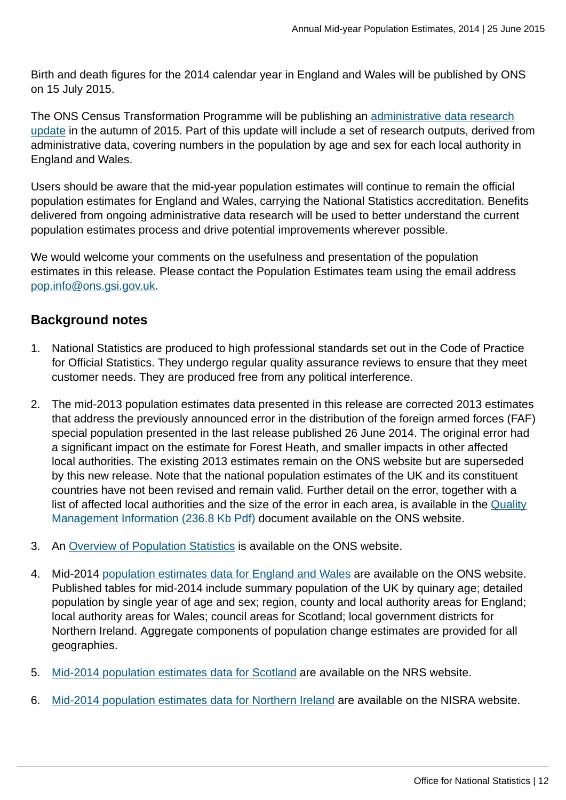Birth and death figures for the 2014 calendar year in England and Wales will be published by ONS on 15 July 2015.

The ONS Census Transformation Programme will be publishing an [administrative data research](http://www.ons.gov.uk:80/ons/guide-method/census/2021-census/progress-and-development/research-projects/beyond-2011-research-and-design/index.html) [update](http://www.ons.gov.uk:80/ons/guide-method/census/2021-census/progress-and-development/research-projects/beyond-2011-research-and-design/index.html) in the autumn of 2015. Part of this update will include a set of research outputs, derived from administrative data, covering numbers in the population by age and sex for each local authority in England and Wales.

Users should be aware that the mid-year population estimates will continue to remain the official population estimates for England and Wales, carrying the National Statistics accreditation. Benefits delivered from ongoing administrative data research will be used to better understand the current population estimates process and drive potential improvements wherever possible.

We would welcome your comments on the usefulness and presentation of the population estimates in this release. Please contact the Population Estimates team using the email address [pop.info@ons.gsi.gov.uk](mailto:pop.info@ons.gsi.gov.uk).

# **Background notes**

- 1. National Statistics are produced to high professional standards set out in the Code of Practice for Official Statistics. They undergo regular quality assurance reviews to ensure that they meet customer needs. They are produced free from any political interference.
- 2. The mid-2013 population estimates data presented in this release are corrected 2013 estimates that address the previously announced error in the distribution of the foreign armed forces (FAF) special population presented in the last release published 26 June 2014. The original error had a significant impact on the estimate for Forest Heath, and smaller impacts in other affected local authorities. The existing 2013 estimates remain on the ONS website but are superseded by this new release. Note that the national population estimates of the UK and its constituent countries have not been revised and remain valid. Further detail on the error, together with a list of affected local authorities and the size of the error in each area, is available in the [Quality](http://www.ons.gov.uk:80/ons/guide-method/method-quality/quality/quality-information/population/quality-and-methodology-information-for-annual-mid-year-population-estimates.pdf) [Management Information \(236.8 Kb Pdf\)](http://www.ons.gov.uk:80/ons/guide-method/method-quality/quality/quality-information/population/quality-and-methodology-information-for-annual-mid-year-population-estimates.pdf) document available on the ONS website.
- 3. An [Overview of Population Statistics](http://www.ons.gov.uk:80/ons/guide-method/method-quality/specific/population-and-migration/an-overview-of-ons-s-population-statistics/index.html) is available on the ONS website.
- 4. Mid-2014 [population estimates data for England and Wales](http://www.ons.gov.uk:80/ons/rel/pop-estimate/population-estimates-for-uk--england-and-wales--scotland-and-northern-ireland/index.html) are available on the ONS website. Published tables for mid-2014 include summary population of the UK by quinary age; detailed population by single year of age and sex; region, county and local authority areas for England; local authority areas for Wales; council areas for Scotland; local government districts for Northern Ireland. Aggregate components of population change estimates are provided for all geographies.
- 5. [Mid-2014 population estimates data for Scotland](http://www.ons.gov.uk:80/ons/external-links/devolved-admins/national-records-of-scotland/mid-year-population-estimates-2014.html) are available on the NRS website.
- 6. [Mid-2014 population estimates data for Northern Ireland](http://www.ons.gov.uk:80/ons/external-links/devolved-admins/nisra/nisra---population-estimates.html) are available on the NISRA website.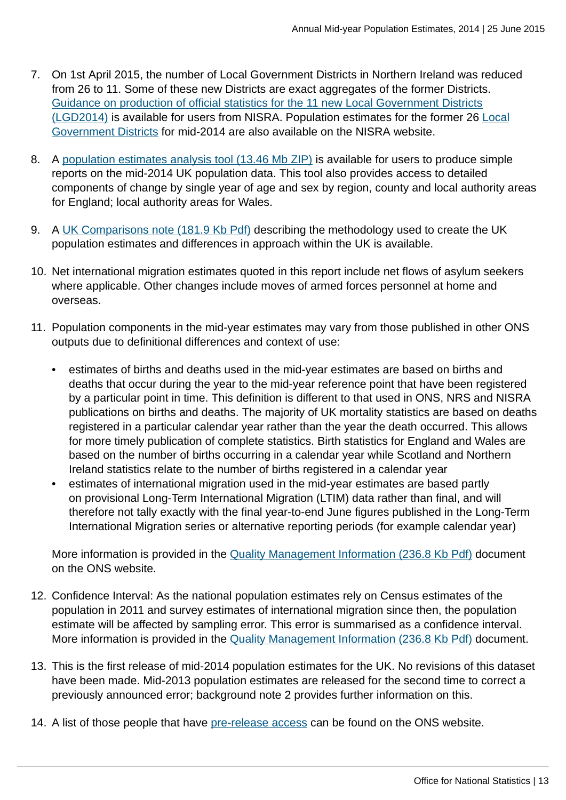- 7. On 1st April 2015, the number of Local Government Districts in Northern Ireland was reduced from 26 to 11. Some of these new Districts are exact aggregates of the former Districts. [Guidance on production of official statistics for the 11 new Local Government Districts](http://www.ons.gov.uk:80/ons/external-links/devolved-admins/nisra/technical-guidance-on-production-of-official-statistics-for-the-11-new-local-government-districts.html) [\(LGD2014\)](http://www.ons.gov.uk:80/ons/external-links/devolved-admins/nisra/technical-guidance-on-production-of-official-statistics-for-the-11-new-local-government-districts.html) is available for users from NISRA. Population estimates for the former 26 [Local](http://www.ons.gov.uk:80/ons/external-links/devolved-admins/nisra/former-local-government-districts.html) [Government Districts](http://www.ons.gov.uk:80/ons/external-links/devolved-admins/nisra/former-local-government-districts.html) for mid-2014 are also available on the NISRA website.
- 8. A [population estimates analysis tool \(13.46 Mb ZIP\)](http://www.ons.gov.uk:80/ons/rel/pop-estimate/population-estimates-for-uk--england-and-wales--scotland-and-northern-ireland/mid-2014/rft---mid-2014-population-estimates-analysis-tool.zip) is available for users to produce simple reports on the mid-2014 UK population data. This tool also provides access to detailed components of change by single year of age and sex by region, county and local authority areas for England; local authority areas for Wales.
- 9. A [UK Comparisons note \(181.9 Kb Pdf\)](http://www.ons.gov.uk:80/ons/guide-method/method-quality/specific/population-and-migration/pop-ests/population-estimates-for-las/population-estimates-uk-comparisons-paper.pdf) describing the methodology used to create the UK population estimates and differences in approach within the UK is available.
- 10. Net international migration estimates quoted in this report include net flows of asylum seekers where applicable. Other changes include moves of armed forces personnel at home and overseas.
- 11. Population components in the mid-year estimates may vary from those published in other ONS outputs due to definitional differences and context of use:
	- estimates of births and deaths used in the mid-year estimates are based on births and deaths that occur during the year to the mid-year reference point that have been registered by a particular point in time. This definition is different to that used in ONS, NRS and NISRA publications on births and deaths. The majority of UK mortality statistics are based on deaths registered in a particular calendar year rather than the year the death occurred. This allows for more timely publication of complete statistics. Birth statistics for England and Wales are based on the number of births occurring in a calendar year while Scotland and Northern Ireland statistics relate to the number of births registered in a calendar year
	- estimates of international migration used in the mid-year estimates are based partly on provisional Long-Term International Migration (LTIM) data rather than final, and will therefore not tally exactly with the final year-to-end June figures published in the Long-Term International Migration series or alternative reporting periods (for example calendar year)

More information is provided in the [Quality Management Information \(236.8 Kb Pdf\)](http://www.ons.gov.uk:80/ons/guide-method/method-quality/quality/quality-information/population/quality-and-methodology-information-for-annual-mid-year-population-estimates.pdf) document on the ONS website.

- 12. Confidence Interval: As the national population estimates rely on Census estimates of the population in 2011 and survey estimates of international migration since then, the population estimate will be affected by sampling error. This error is summarised as a confidence interval. More information is provided in the [Quality Management Information \(236.8 Kb Pdf\)](http://www.ons.gov.uk:80/ons/guide-method/method-quality/quality/quality-information/population/quality-and-methodology-information-for-annual-mid-year-population-estimates.pdf) document.
- 13. This is the first release of mid-2014 population estimates for the UK. No revisions of this dataset have been made. Mid-2013 population estimates are released for the second time to correct a previously announced error; background note 2 provides further information on this.
- 14. A list of those people that have [pre-release access](http://www.ons.gov.uk:80/ons/rel/pop-estimate/population-estimates-for-uk--england-and-wales--scotland-and-northern-ireland/mid-2014/pra---mid-2014-uk-population-estimates.html) can be found on the ONS website.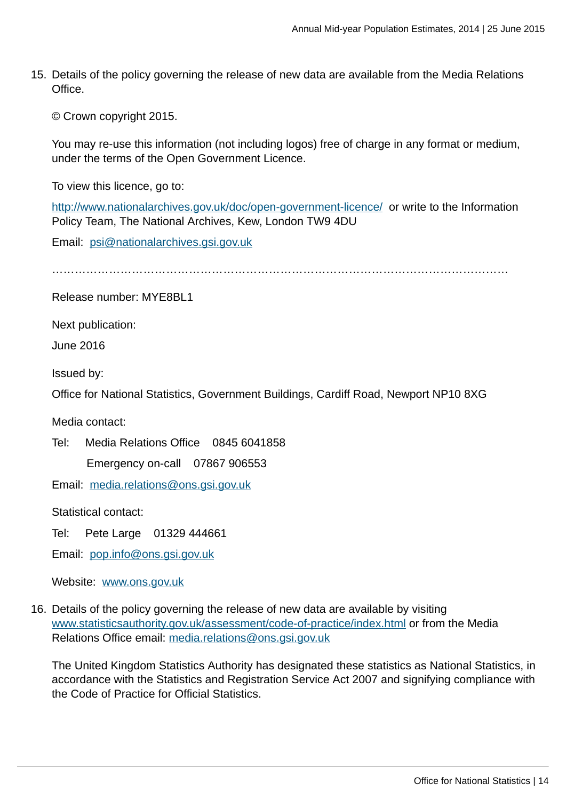- 15. Details of the policy governing the release of new data are available from the Media Relations Office.
	- © Crown copyright 2015.

You may re-use this information (not including logos) free of charge in any format or medium, under the terms of the Open Government Licence.

To view this licence, go to:

<http://www.nationalarchives.gov.uk/doc/open-government-licence/> or write to the Information Policy Team, The National Archives, Kew, London TW9 4DU

Email: [psi@nationalarchives.gsi.gov.uk](mailto:psi@nationalarchives.gsi.gov.uk)

…………………………………………………………………………………………………………

Release number: MYE8BL1

Next publication:

June 2016

Issued by:

Office for National Statistics, Government Buildings, Cardiff Road, Newport NP10 8XG

Media contact:

Tel: Media Relations Office 0845 6041858

Emergency on-call 07867 906553

Email: [media.relations@ons.gsi.gov.uk](mailto:media.relations@ons.gsi.gov.uk)

Statistical contact:

Tel: Pete Large 01329 444661

Email: [pop.info@ons.gsi.gov.uk](mailto:pop.info@ons.gsi.gov.uk)

Website: [www.ons.gov.uk](http://www.ons.gov.uk/)

16. Details of the policy governing the release of new data are available by visiting [www.statisticsauthority.gov.uk/assessment/code-of-practice/index.html](http://www.statisticsauthority.gov.uk/assessment/code-of-practice/index.html) or from the Media Relations Office email: [media.relations@ons.gsi.gov.uk](mailto:media.relations@ons.gsi.gov.uk)

The United Kingdom Statistics Authority has designated these statistics as National Statistics, in accordance with the Statistics and Registration Service Act 2007 and signifying compliance with the Code of Practice for Official Statistics.